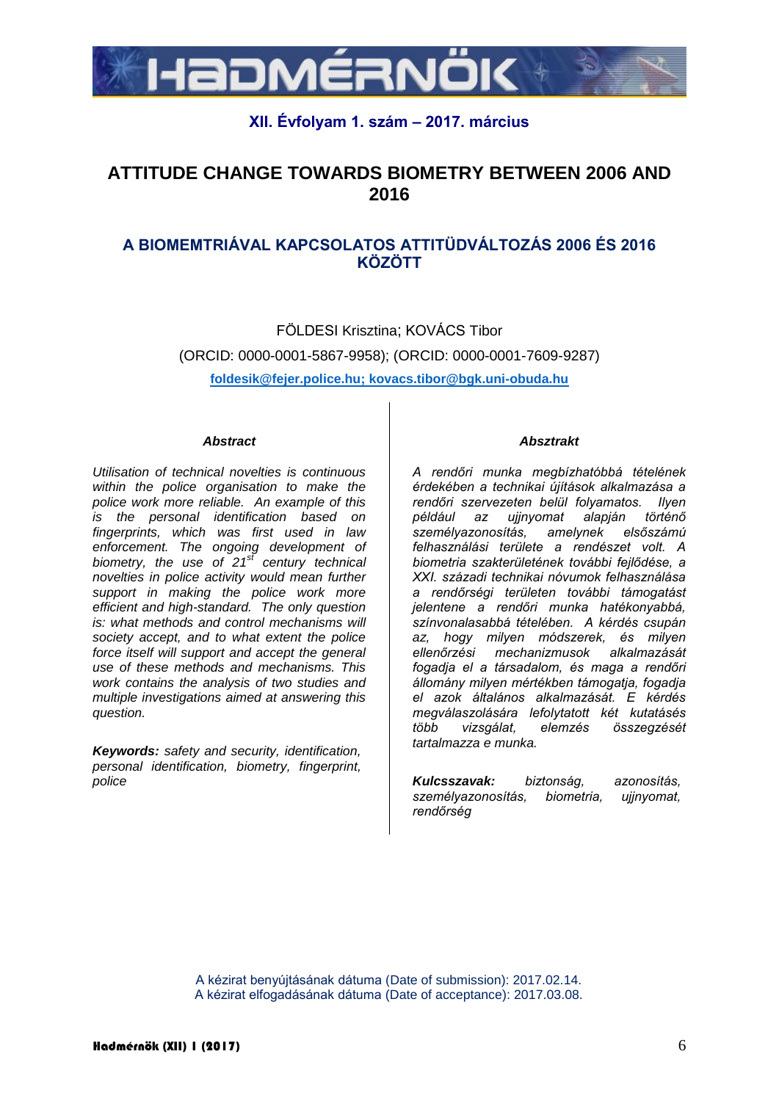

## **XII. Évfolyam 1. szám – 2017. március**

# **ATTITUDE CHANGE TOWARDS BIOMETRY BETWEEN 2006 AND 2016**

# **A BIOMEMTRIÁVAL KAPCSOLATOS ATTITÜDVÁLTOZÁS 2006 ÉS 2016 KÖZÖTT**

FÖLDESI Krisztina; KOVÁCS Tibor (ORCID: 0000-0001-5867-9958); (ORCID: 0000-0001-7609-9287) **foldesik@fejer.police.hu; kovacs.tibor@bgk.uni-obuda.hu**

#### *Abstract*

*Utilisation of technical novelties is continuous within the police organisation to make the police work more reliable. An example of this is the personal identification based on fingerprints, which was first used in law enforcement. The ongoing development of biometry, the use of 21st century technical novelties in police activity would mean further support in making the police work more efficient and high-standard. The only question is: what methods and control mechanisms will society accept, and to what extent the police force itself will support and accept the general use of these methods and mechanisms. This work contains the analysis of two studies and multiple investigations aimed at answering this question.*

*Keywords: safety and security, identification, personal identification, biometry, fingerprint, police*

#### *Absztrakt*

*A rendőri munka megbízhatóbbá tételének érdekében a technikai újítások alkalmazása a rendőri szervezeten belül folyamatos. Ilyen például az ujjnyomat alapján történő személyazonosítás, amelynek elsőszámú felhasználási területe a rendészet volt. A biometria szakterületének további fejlődése, a XXI. századi technikai nóvumok felhasználása a rendőrségi területen további támogatást jelentene a rendőri munka hatékonyabbá, színvonalasabbá tételében. A kérdés csupán az, hogy milyen módszerek, és milyen ellenőrzési mechanizmusok alkalmazását fogadja el a társadalom, és maga a rendőri állomány milyen mértékben támogatja, fogadja el azok általános alkalmazását. E kérdés megválaszolására lefolytatott két kutatásés több vizsgálat, elemzés összegzését tartalmazza e munka.*

*Kulcsszavak: biztonság, azonosítás, személyazonosítás, biometria, ujjnyomat, rendőrség*

A kézirat benyújtásának dátuma (Date of submission): 2017.02.14. A kézirat elfogadásának dátuma (Date of acceptance): 2017.03.08.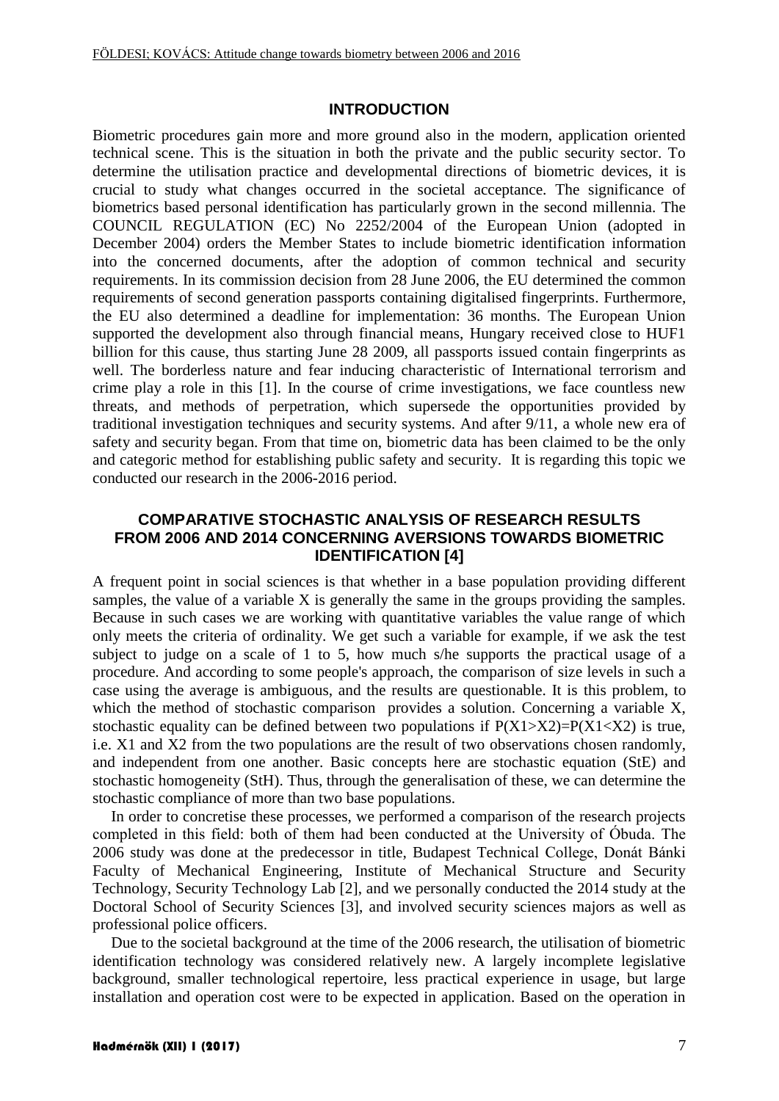### **INTRODUCTION**

Biometric procedures gain more and more ground also in the modern, application oriented technical scene. This is the situation in both the private and the public security sector. To determine the utilisation practice and developmental directions of biometric devices, it is crucial to study what changes occurred in the societal acceptance. The significance of biometrics based personal identification has particularly grown in the second millennia. The COUNCIL REGULATION (EC) No 2252/2004 of the European Union (adopted in December 2004) orders the Member States to include biometric identification information into the concerned documents, after the adoption of common technical and security requirements. In its commission decision from 28 June 2006, the EU determined the common requirements of second generation passports containing digitalised fingerprints. Furthermore, the EU also determined a deadline for implementation: 36 months. The European Union supported the development also through financial means, Hungary received close to HUF1 billion for this cause, thus starting June 28 2009, all passports issued contain fingerprints as well. The borderless nature and fear inducing characteristic of International terrorism and crime play a role in this [1]. In the course of crime investigations, we face countless new threats, and methods of perpetration, which supersede the opportunities provided by traditional investigation techniques and security systems. And after 9/11, a whole new era of safety and security began. From that time on, biometric data has been claimed to be the only and categoric method for establishing public safety and security. It is regarding this topic we conducted our research in the 2006-2016 period.

### **COMPARATIVE STOCHASTIC ANALYSIS OF RESEARCH RESULTS FROM 2006 AND 2014 CONCERNING AVERSIONS TOWARDS BIOMETRIC IDENTIFICATION [4]**

A frequent point in social sciences is that whether in a base population providing different samples, the value of a variable X is generally the same in the groups providing the samples. Because in such cases we are working with quantitative variables the value range of which only meets the criteria of ordinality. We get such a variable for example, if we ask the test subject to judge on a scale of 1 to 5, how much s/he supports the practical usage of a procedure. And according to some people's approach, the comparison of size levels in such a case using the average is ambiguous, and the results are questionable. It is this problem, to which the method of stochastic comparison provides a solution. Concerning a variable X, stochastic equality can be defined between two populations if  $P(X1 > X2) = P(X1 < X2)$  is true, i.e. X1 and X2 from the two populations are the result of two observations chosen randomly, and independent from one another. Basic concepts here are stochastic equation (StE) and stochastic homogeneity (StH). Thus, through the generalisation of these, we can determine the stochastic compliance of more than two base populations.

In order to concretise these processes, we performed a comparison of the research projects completed in this field: both of them had been conducted at the University of Óbuda. The 2006 study was done at the predecessor in title, Budapest Technical College, Donát Bánki Faculty of Mechanical Engineering, Institute of Mechanical Structure and Security Technology, Security Technology Lab [2], and we personally conducted the 2014 study at the Doctoral School of Security Sciences [3], and involved security sciences majors as well as professional police officers.

Due to the societal background at the time of the 2006 research, the utilisation of biometric identification technology was considered relatively new. A largely incomplete legislative background, smaller technological repertoire, less practical experience in usage, but large installation and operation cost were to be expected in application. Based on the operation in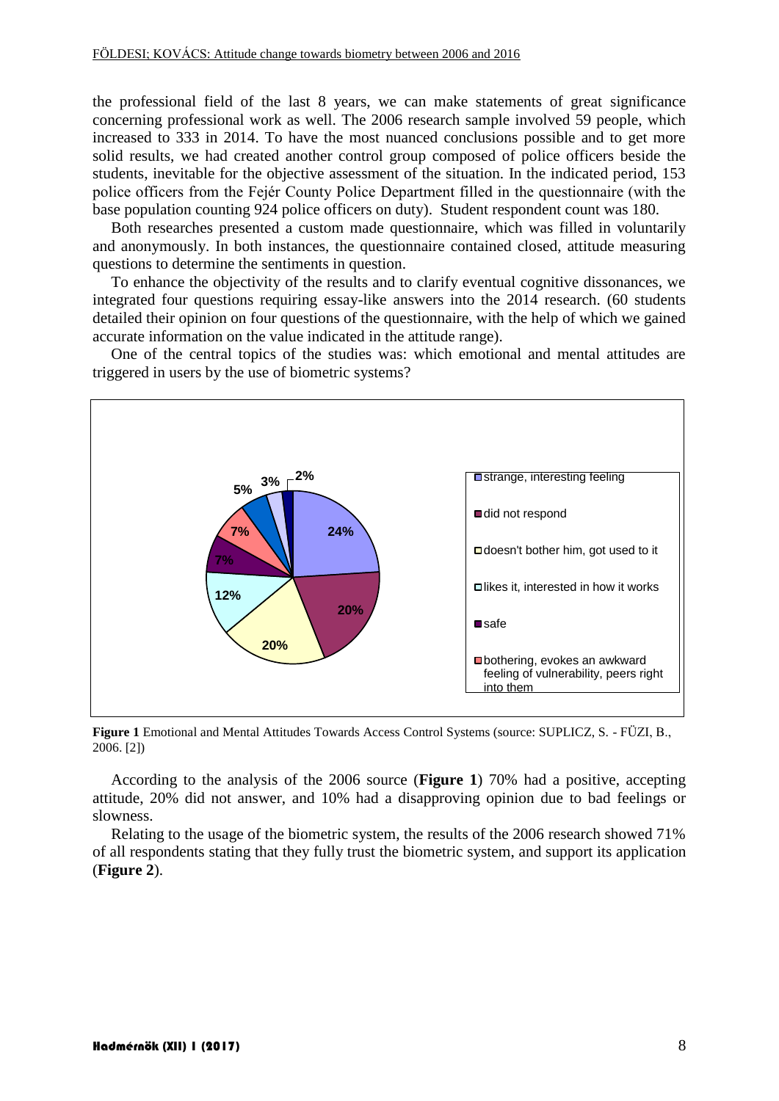the professional field of the last 8 years, we can make statements of great significance concerning professional work as well. The 2006 research sample involved 59 people, which increased to 333 in 2014. To have the most nuanced conclusions possible and to get more solid results, we had created another control group composed of police officers beside the students, inevitable for the objective assessment of the situation. In the indicated period, 153 police officers from the Fejér County Police Department filled in the questionnaire (with the base population counting 924 police officers on duty). Student respondent count was 180.

Both researches presented a custom made questionnaire, which was filled in voluntarily and anonymously. In both instances, the questionnaire contained closed, attitude measuring questions to determine the sentiments in question.

To enhance the objectivity of the results and to clarify eventual cognitive dissonances, we integrated four questions requiring essay-like answers into the 2014 research. (60 students detailed their opinion on four questions of the questionnaire, with the help of which we gained accurate information on the value indicated in the attitude range).

One of the central topics of the studies was: which emotional and mental attitudes are triggered in users by the use of biometric systems?



**Figure 1** Emotional and Mental Attitudes Towards Access Control Systems (source: SUPLICZ, S. - FÜZI, B., 2006. [2])

According to the analysis of the 2006 source (**Figure 1**) 70% had a positive, accepting attitude, 20% did not answer, and 10% had a disapproving opinion due to bad feelings or slowness.

Relating to the usage of the biometric system, the results of the 2006 research showed 71% of all respondents stating that they fully trust the biometric system, and support its application (**Figure 2**).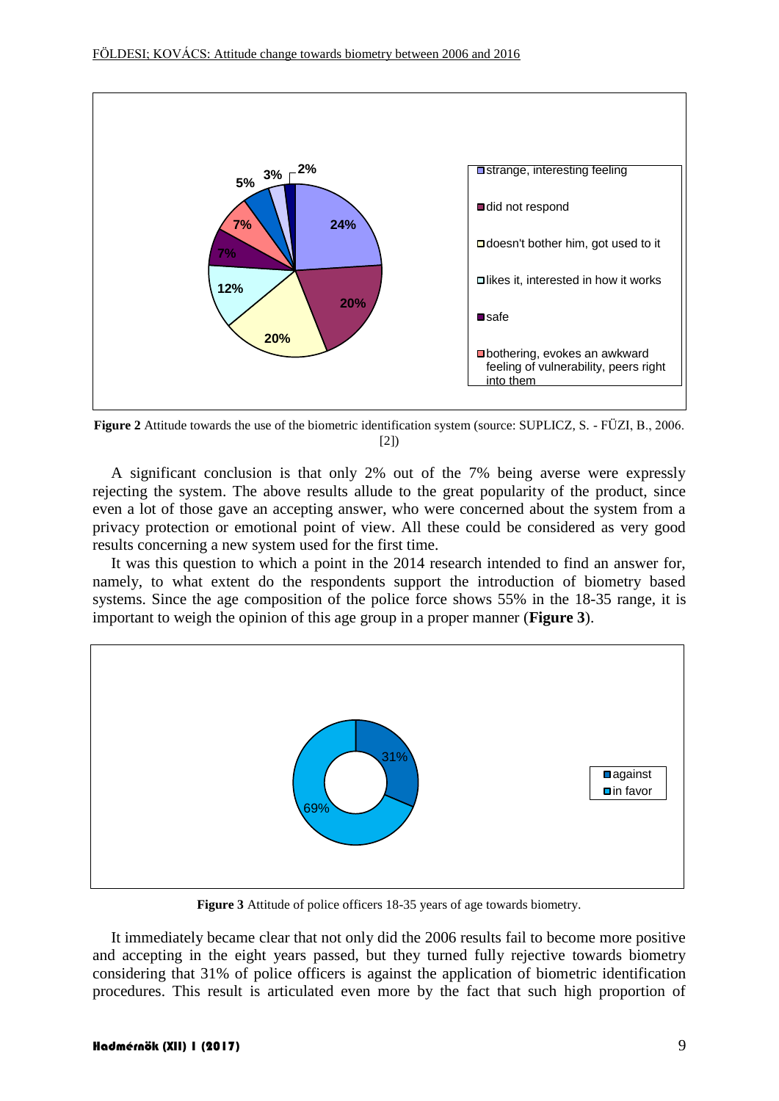

**Figure 2** Attitude towards the use of the biometric identification system (source: SUPLICZ, S. - FÜZI, B., 2006. [2])

A significant conclusion is that only 2% out of the 7% being averse were expressly rejecting the system. The above results allude to the great popularity of the product, since even a lot of those gave an accepting answer, who were concerned about the system from a privacy protection or emotional point of view. All these could be considered as very good results concerning a new system used for the first time.

It was this question to which a point in the 2014 research intended to find an answer for, namely, to what extent do the respondents support the introduction of biometry based systems. Since the age composition of the police force shows 55% in the 18-35 range, it is important to weigh the opinion of this age group in a proper manner (**Figure 3**).



**Figure 3** Attitude of police officers 18-35 years of age towards biometry.

It immediately became clear that not only did the 2006 results fail to become more positive and accepting in the eight years passed, but they turned fully rejective towards biometry considering that 31% of police officers is against the application of biometric identification procedures. This result is articulated even more by the fact that such high proportion of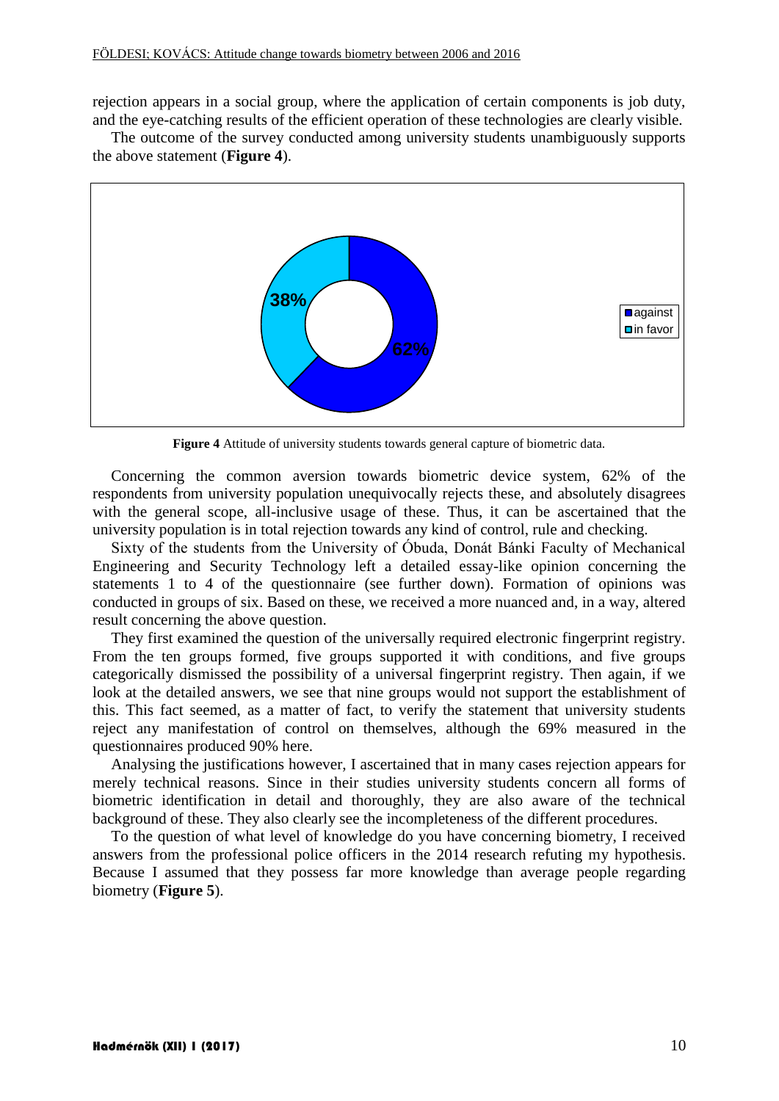rejection appears in a social group, where the application of certain components is job duty, and the eye-catching results of the efficient operation of these technologies are clearly visible.

The outcome of the survey conducted among university students unambiguously supports the above statement (**Figure 4**).



**Figure 4** Attitude of university students towards general capture of biometric data.

Concerning the common aversion towards biometric device system, 62% of the respondents from university population unequivocally rejects these, and absolutely disagrees with the general scope, all-inclusive usage of these. Thus, it can be ascertained that the university population is in total rejection towards any kind of control, rule and checking.

Sixty of the students from the University of Óbuda, Donát Bánki Faculty of Mechanical Engineering and Security Technology left a detailed essay-like opinion concerning the statements 1 to 4 of the questionnaire (see further down). Formation of opinions was conducted in groups of six. Based on these, we received a more nuanced and, in a way, altered result concerning the above question.

They first examined the question of the universally required electronic fingerprint registry. From the ten groups formed, five groups supported it with conditions, and five groups categorically dismissed the possibility of a universal fingerprint registry. Then again, if we look at the detailed answers, we see that nine groups would not support the establishment of this. This fact seemed, as a matter of fact, to verify the statement that university students reject any manifestation of control on themselves, although the 69% measured in the questionnaires produced 90% here.

Analysing the justifications however, I ascertained that in many cases rejection appears for merely technical reasons. Since in their studies university students concern all forms of biometric identification in detail and thoroughly, they are also aware of the technical background of these. They also clearly see the incompleteness of the different procedures.

To the question of what level of knowledge do you have concerning biometry, I received answers from the professional police officers in the 2014 research refuting my hypothesis. Because I assumed that they possess far more knowledge than average people regarding biometry (**Figure 5**).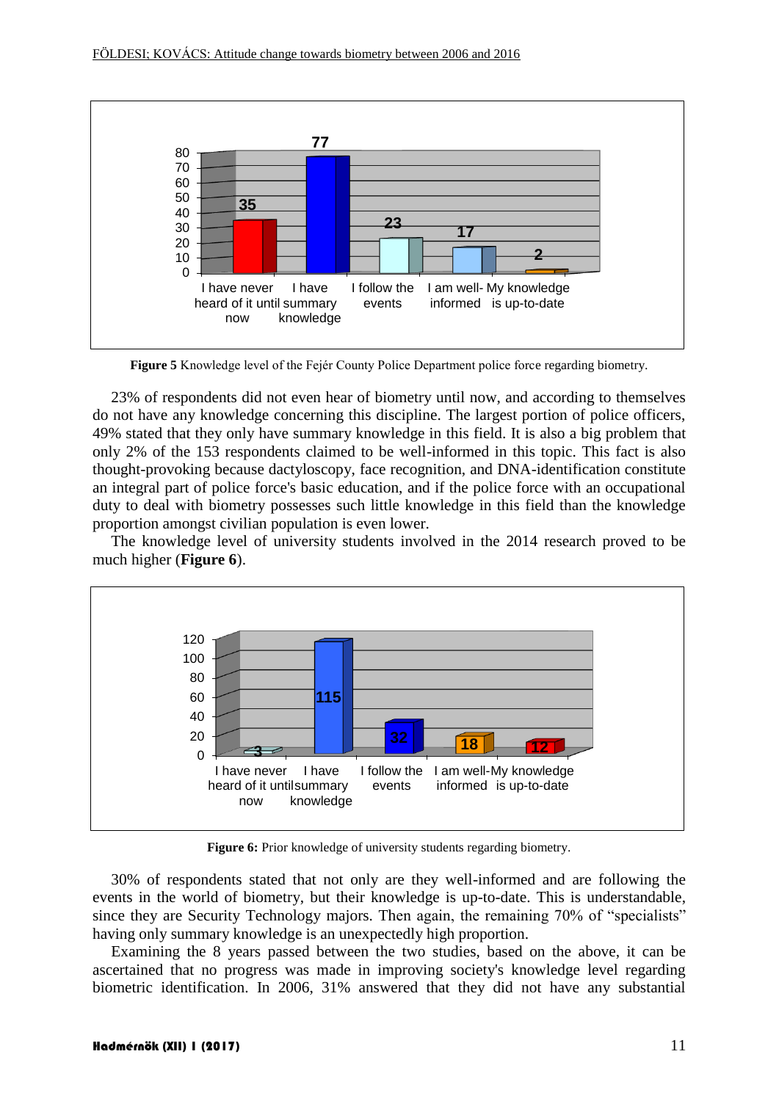

**Figure 5** Knowledge level of the Fejér County Police Department police force regarding biometry.

23% of respondents did not even hear of biometry until now, and according to themselves do not have any knowledge concerning this discipline. The largest portion of police officers, 49% stated that they only have summary knowledge in this field. It is also a big problem that only 2% of the 153 respondents claimed to be well-informed in this topic. This fact is also thought-provoking because dactyloscopy, face recognition, and DNA-identification constitute an integral part of police force's basic education, and if the police force with an occupational duty to deal with biometry possesses such little knowledge in this field than the knowledge proportion amongst civilian population is even lower.

The knowledge level of university students involved in the 2014 research proved to be much higher (**Figure 6**).



**Figure 6:** Prior knowledge of university students regarding biometry.

30% of respondents stated that not only are they well-informed and are following the events in the world of biometry, but their knowledge is up-to-date. This is understandable, since they are Security Technology majors. Then again, the remaining 70% of "specialists" having only summary knowledge is an unexpectedly high proportion.

Examining the 8 years passed between the two studies, based on the above, it can be ascertained that no progress was made in improving society's knowledge level regarding biometric identification. In 2006, 31% answered that they did not have any substantial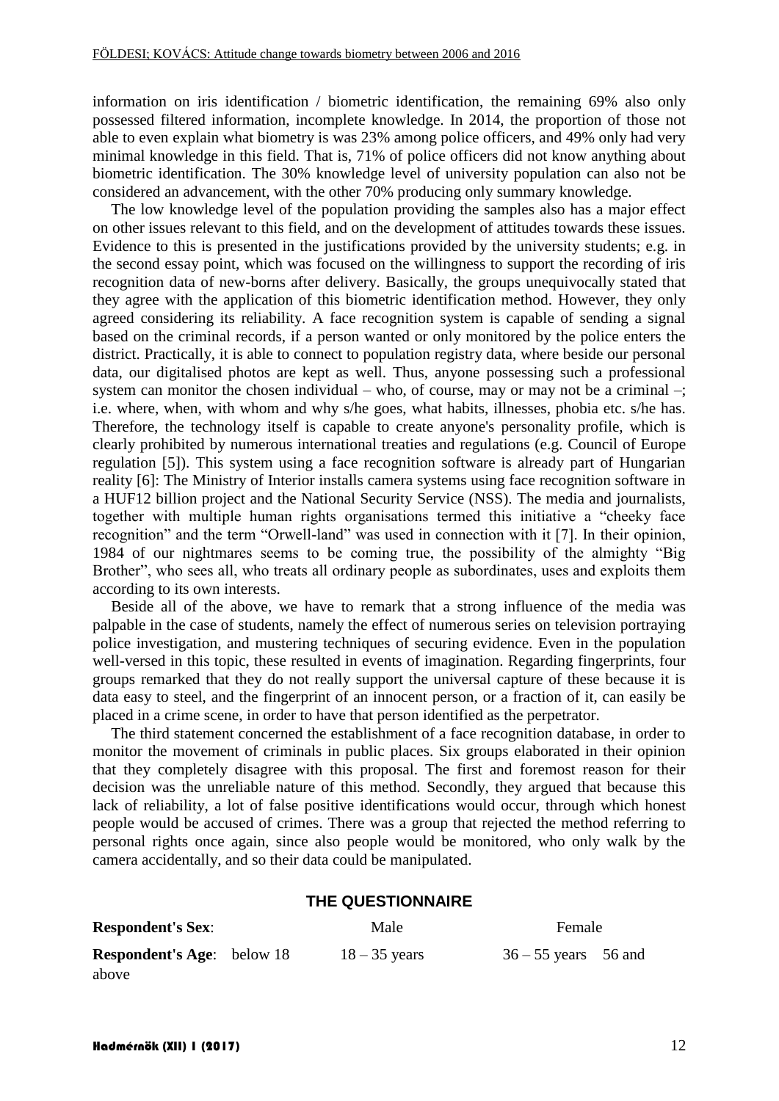information on iris identification / biometric identification, the remaining 69% also only possessed filtered information, incomplete knowledge. In 2014, the proportion of those not able to even explain what biometry is was 23% among police officers, and 49% only had very minimal knowledge in this field. That is, 71% of police officers did not know anything about biometric identification. The 30% knowledge level of university population can also not be considered an advancement, with the other 70% producing only summary knowledge.

The low knowledge level of the population providing the samples also has a major effect on other issues relevant to this field, and on the development of attitudes towards these issues. Evidence to this is presented in the justifications provided by the university students; e.g. in the second essay point, which was focused on the willingness to support the recording of iris recognition data of new-borns after delivery. Basically, the groups unequivocally stated that they agree with the application of this biometric identification method. However, they only agreed considering its reliability. A face recognition system is capable of sending a signal based on the criminal records, if a person wanted or only monitored by the police enters the district. Practically, it is able to connect to population registry data, where beside our personal data, our digitalised photos are kept as well. Thus, anyone possessing such a professional system can monitor the chosen individual – who, of course, may or may not be a criminal –; i.e. where, when, with whom and why s/he goes, what habits, illnesses, phobia etc. s/he has. Therefore, the technology itself is capable to create anyone's personality profile, which is clearly prohibited by numerous international treaties and regulations (e.g. Council of Europe regulation [5]). This system using a face recognition software is already part of Hungarian reality [6]: The Ministry of Interior installs camera systems using face recognition software in a HUF12 billion project and the National Security Service (NSS). The media and journalists, together with multiple human rights organisations termed this initiative a "cheeky face recognition" and the term "Orwell-land" was used in connection with it [7]. In their opinion, 1984 of our nightmares seems to be coming true, the possibility of the almighty "Big Brother", who sees all, who treats all ordinary people as subordinates, uses and exploits them according to its own interests.

Beside all of the above, we have to remark that a strong influence of the media was palpable in the case of students, namely the effect of numerous series on television portraying police investigation, and mustering techniques of securing evidence. Even in the population well-versed in this topic, these resulted in events of imagination. Regarding fingerprints, four groups remarked that they do not really support the universal capture of these because it is data easy to steel, and the fingerprint of an innocent person, or a fraction of it, can easily be placed in a crime scene, in order to have that person identified as the perpetrator.

The third statement concerned the establishment of a face recognition database, in order to monitor the movement of criminals in public places. Six groups elaborated in their opinion that they completely disagree with this proposal. The first and foremost reason for their decision was the unreliable nature of this method. Secondly, they argued that because this lack of reliability, a lot of false positive identifications would occur, through which honest people would be accused of crimes. There was a group that rejected the method referring to personal rights once again, since also people would be monitored, who only walk by the camera accidentally, and so their data could be manipulated.

#### **THE QUESTIONNAIRE**

| <b>Respondent's Sex:</b>          |  | Male            | Female                 |
|-----------------------------------|--|-----------------|------------------------|
| <b>Respondent's Age:</b> below 18 |  | $18 - 35$ years | $36 - 55$ years 56 and |
| above                             |  |                 |                        |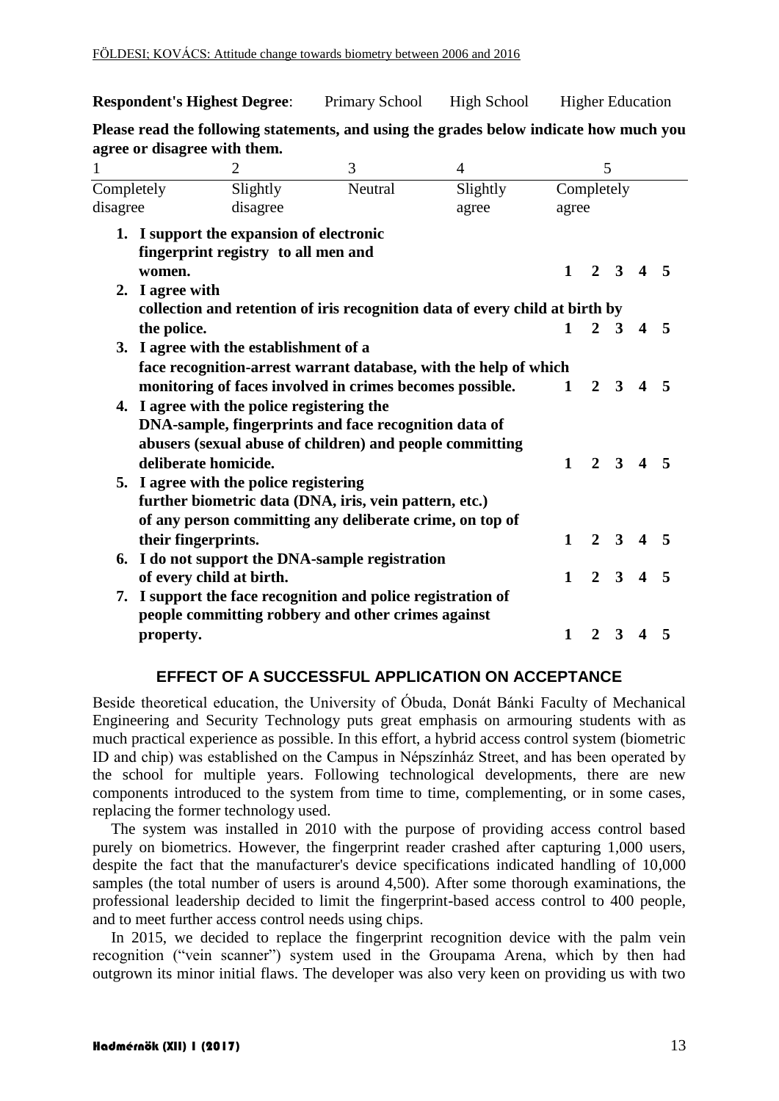**Respondent's Highest Degree:** Primary School High School Higher Education

**Please read the following statements, and using the grades below indicate how much you agree or disagree with them.** 

| $\mathbf{1}$ |                                                                  | $\overline{2}$                                                                  | 3<br>$\overline{4}$                                                          |          | 5            |                |                     |                         |                         |  |  |
|--------------|------------------------------------------------------------------|---------------------------------------------------------------------------------|------------------------------------------------------------------------------|----------|--------------|----------------|---------------------|-------------------------|-------------------------|--|--|
| Completely   |                                                                  | Slightly                                                                        | Neutral                                                                      | Slightly |              |                | Completely          |                         |                         |  |  |
| disagree     |                                                                  | disagree                                                                        |                                                                              | agree    |              | agree          |                     |                         |                         |  |  |
|              |                                                                  | 1. I support the expansion of electronic<br>fingerprint registry to all men and |                                                                              |          |              |                |                     |                         |                         |  |  |
|              | women.                                                           |                                                                                 |                                                                              |          | $\mathbf{1}$ |                |                     | $2 \t3 \t4 \t5$         |                         |  |  |
|              | 2. I agree with                                                  |                                                                                 |                                                                              |          |              |                |                     |                         |                         |  |  |
|              |                                                                  |                                                                                 | collection and retention of iris recognition data of every child at birth by |          |              |                |                     |                         |                         |  |  |
|              | the police.                                                      |                                                                                 |                                                                              |          | $\mathbf{1}$ |                | $2 \overline{3}$    | $\boldsymbol{4}$        | -5                      |  |  |
|              |                                                                  | 3. I agree with the establishment of a                                          |                                                                              |          |              |                |                     |                         |                         |  |  |
|              | face recognition-arrest warrant database, with the help of which |                                                                                 |                                                                              |          |              |                |                     |                         |                         |  |  |
|              |                                                                  |                                                                                 | monitoring of faces involved in crimes becomes possible.                     |          | 1            | $\overline{2}$ | 3                   | $\boldsymbol{4}$        | 5                       |  |  |
|              |                                                                  | 4. I agree with the police registering the                                      |                                                                              |          |              |                |                     |                         |                         |  |  |
|              |                                                                  |                                                                                 | DNA-sample, fingerprints and face recognition data of                        |          |              |                |                     |                         |                         |  |  |
|              |                                                                  |                                                                                 | abusers (sexual abuse of children) and people committing                     |          |              |                |                     |                         |                         |  |  |
|              | deliberate homicide.                                             |                                                                                 |                                                                              |          | $\mathbf{1}$ |                |                     | $2 \t3 \t4 \t5$         |                         |  |  |
|              |                                                                  | 5. I agree with the police registering                                          |                                                                              |          |              |                |                     |                         |                         |  |  |
|              |                                                                  |                                                                                 | further biometric data (DNA, iris, vein pattern, etc.)                       |          |              |                |                     |                         |                         |  |  |
|              |                                                                  |                                                                                 | of any person committing any deliberate crime, on top of                     |          |              |                |                     |                         |                         |  |  |
|              | their fingerprints.                                              |                                                                                 |                                                                              |          | $\mathbf{1}$ |                | $2 \quad 3$         | $\overline{\mathbf{4}}$ | 5                       |  |  |
| 6.           |                                                                  |                                                                                 | I do not support the DNA-sample registration                                 |          |              |                |                     |                         |                         |  |  |
|              | of every child at birth.                                         |                                                                                 |                                                                              |          | $\mathbf{1}$ |                | $2 \quad 3 \quad 4$ |                         | $\overline{\mathbf{5}}$ |  |  |
| 7.           |                                                                  |                                                                                 | I support the face recognition and police registration of                    |          |              |                |                     |                         |                         |  |  |
|              |                                                                  |                                                                                 | people committing robbery and other crimes against                           |          |              |                |                     |                         |                         |  |  |
|              | property.                                                        |                                                                                 |                                                                              |          | $\mathbf{1}$ | $\mathbf{2}$   | 3                   | $\boldsymbol{4}$        | 5                       |  |  |
|              |                                                                  |                                                                                 |                                                                              |          |              |                |                     |                         |                         |  |  |

### **EFFECT OF A SUCCESSFUL APPLICATION ON ACCEPTANCE**

Beside theoretical education, the University of Óbuda, Donát Bánki Faculty of Mechanical Engineering and Security Technology puts great emphasis on armouring students with as much practical experience as possible. In this effort, a hybrid access control system (biometric ID and chip) was established on the Campus in Népszínház Street, and has been operated by the school for multiple years. Following technological developments, there are new components introduced to the system from time to time, complementing, or in some cases, replacing the former technology used.

The system was installed in 2010 with the purpose of providing access control based purely on biometrics. However, the fingerprint reader crashed after capturing 1,000 users, despite the fact that the manufacturer's device specifications indicated handling of 10,000 samples (the total number of users is around 4,500). After some thorough examinations, the professional leadership decided to limit the fingerprint-based access control to 400 people, and to meet further access control needs using chips.

In 2015, we decided to replace the fingerprint recognition device with the palm vein recognition ("vein scanner") system used in the Groupama Arena, which by then had outgrown its minor initial flaws. The developer was also very keen on providing us with two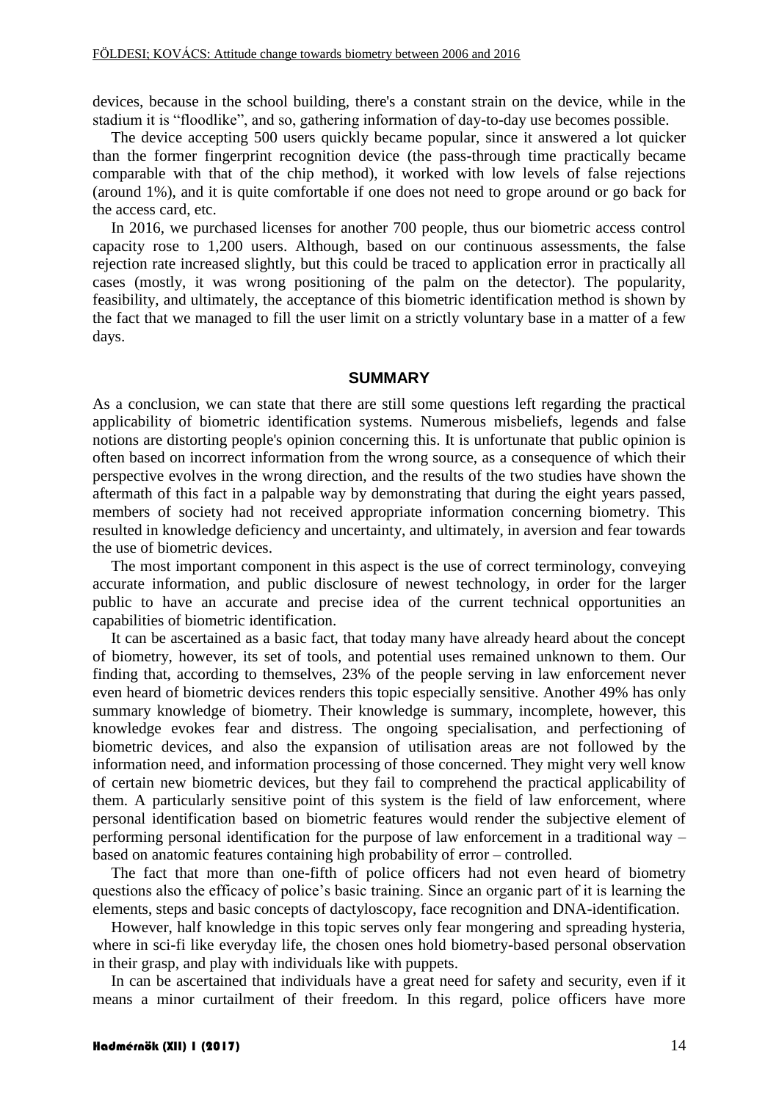devices, because in the school building, there's a constant strain on the device, while in the stadium it is "floodlike", and so, gathering information of day-to-day use becomes possible.

The device accepting 500 users quickly became popular, since it answered a lot quicker than the former fingerprint recognition device (the pass-through time practically became comparable with that of the chip method), it worked with low levels of false rejections (around 1%), and it is quite comfortable if one does not need to grope around or go back for the access card, etc.

In 2016, we purchased licenses for another 700 people, thus our biometric access control capacity rose to 1,200 users. Although, based on our continuous assessments, the false rejection rate increased slightly, but this could be traced to application error in practically all cases (mostly, it was wrong positioning of the palm on the detector). The popularity, feasibility, and ultimately, the acceptance of this biometric identification method is shown by the fact that we managed to fill the user limit on a strictly voluntary base in a matter of a few days.

#### **SUMMARY**

As a conclusion, we can state that there are still some questions left regarding the practical applicability of biometric identification systems. Numerous misbeliefs, legends and false notions are distorting people's opinion concerning this. It is unfortunate that public opinion is often based on incorrect information from the wrong source, as a consequence of which their perspective evolves in the wrong direction, and the results of the two studies have shown the aftermath of this fact in a palpable way by demonstrating that during the eight years passed, members of society had not received appropriate information concerning biometry. This resulted in knowledge deficiency and uncertainty, and ultimately, in aversion and fear towards the use of biometric devices.

The most important component in this aspect is the use of correct terminology, conveying accurate information, and public disclosure of newest technology, in order for the larger public to have an accurate and precise idea of the current technical opportunities an capabilities of biometric identification.

It can be ascertained as a basic fact, that today many have already heard about the concept of biometry, however, its set of tools, and potential uses remained unknown to them. Our finding that, according to themselves, 23% of the people serving in law enforcement never even heard of biometric devices renders this topic especially sensitive. Another 49% has only summary knowledge of biometry. Their knowledge is summary, incomplete, however, this knowledge evokes fear and distress. The ongoing specialisation, and perfectioning of biometric devices, and also the expansion of utilisation areas are not followed by the information need, and information processing of those concerned. They might very well know of certain new biometric devices, but they fail to comprehend the practical applicability of them. A particularly sensitive point of this system is the field of law enforcement, where personal identification based on biometric features would render the subjective element of performing personal identification for the purpose of law enforcement in a traditional way – based on anatomic features containing high probability of error – controlled.

The fact that more than one-fifth of police officers had not even heard of biometry questions also the efficacy of police's basic training. Since an organic part of it is learning the elements, steps and basic concepts of dactyloscopy, face recognition and DNA-identification.

However, half knowledge in this topic serves only fear mongering and spreading hysteria, where in sci-fi like everyday life, the chosen ones hold biometry-based personal observation in their grasp, and play with individuals like with puppets.

In can be ascertained that individuals have a great need for safety and security, even if it means a minor curtailment of their freedom. In this regard, police officers have more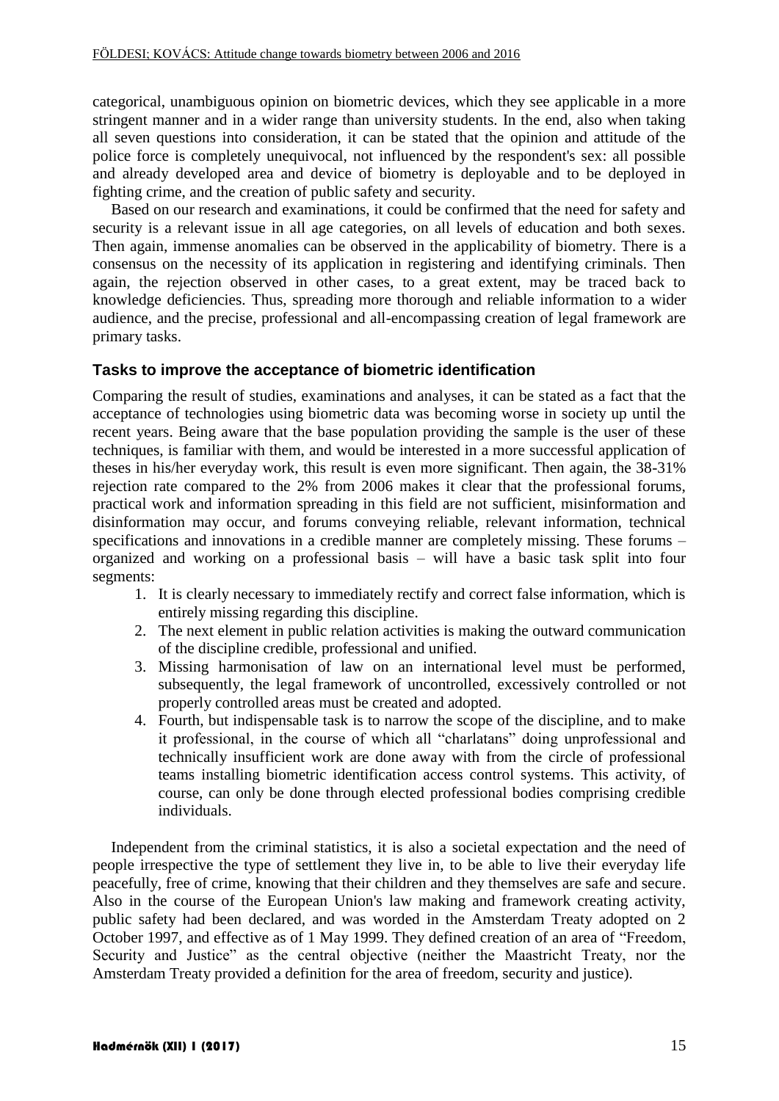categorical, unambiguous opinion on biometric devices, which they see applicable in a more stringent manner and in a wider range than university students. In the end, also when taking all seven questions into consideration, it can be stated that the opinion and attitude of the police force is completely unequivocal, not influenced by the respondent's sex: all possible and already developed area and device of biometry is deployable and to be deployed in fighting crime, and the creation of public safety and security.

Based on our research and examinations, it could be confirmed that the need for safety and security is a relevant issue in all age categories, on all levels of education and both sexes. Then again, immense anomalies can be observed in the applicability of biometry. There is a consensus on the necessity of its application in registering and identifying criminals. Then again, the rejection observed in other cases, to a great extent, may be traced back to knowledge deficiencies. Thus, spreading more thorough and reliable information to a wider audience, and the precise, professional and all-encompassing creation of legal framework are primary tasks.

### **Tasks to improve the acceptance of biometric identification**

Comparing the result of studies, examinations and analyses, it can be stated as a fact that the acceptance of technologies using biometric data was becoming worse in society up until the recent years. Being aware that the base population providing the sample is the user of these techniques, is familiar with them, and would be interested in a more successful application of theses in his/her everyday work, this result is even more significant. Then again, the 38-31% rejection rate compared to the 2% from 2006 makes it clear that the professional forums, practical work and information spreading in this field are not sufficient, misinformation and disinformation may occur, and forums conveying reliable, relevant information, technical specifications and innovations in a credible manner are completely missing. These forums – organized and working on a professional basis – will have a basic task split into four segments:

- 1. It is clearly necessary to immediately rectify and correct false information, which is entirely missing regarding this discipline.
- 2. The next element in public relation activities is making the outward communication of the discipline credible, professional and unified.
- 3. Missing harmonisation of law on an international level must be performed, subsequently, the legal framework of uncontrolled, excessively controlled or not properly controlled areas must be created and adopted.
- 4. Fourth, but indispensable task is to narrow the scope of the discipline, and to make it professional, in the course of which all "charlatans" doing unprofessional and technically insufficient work are done away with from the circle of professional teams installing biometric identification access control systems. This activity, of course, can only be done through elected professional bodies comprising credible individuals.

Independent from the criminal statistics, it is also a societal expectation and the need of people irrespective the type of settlement they live in, to be able to live their everyday life peacefully, free of crime, knowing that their children and they themselves are safe and secure. Also in the course of the European Union's law making and framework creating activity, public safety had been declared, and was worded in the Amsterdam Treaty adopted on 2 October 1997, and effective as of 1 May 1999. They defined creation of an area of "Freedom, Security and Justice" as the central objective (neither the Maastricht Treaty, nor the Amsterdam Treaty provided a definition for the area of freedom, security and justice).